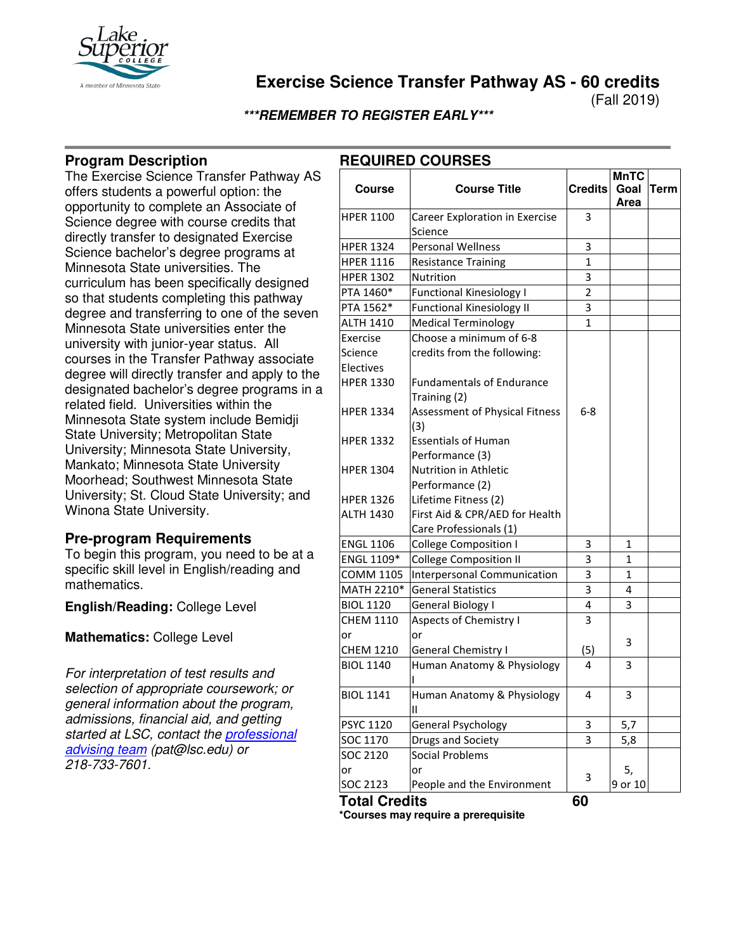

# **Exercise Science Transfer Pathway AS - 60 credits**

(Fall 2019)

**\*\*\*REMEMBER TO REGISTER EARLY\*\*\***

## **Program Description**

The Exercise Science Transfer Pathway AS offers students a powerful option: the opportunity to complete an Associate of Science degree with course credits that directly transfer to designated Exercise Science bachelor's degree programs at Minnesota State universities. The curriculum has been specifically designed so that students completing this pathway degree and transferring to one of the seven Minnesota State universities enter the university with junior-year status. All courses in the Transfer Pathway associate degree will directly transfer and apply to the designated bachelor's degree programs in a related field. Universities within the Minnesota State system include Bemidji State University; Metropolitan State University; Minnesota State University, Mankato; Minnesota State University Moorhead; Southwest Minnesota State University; St. Cloud State University; and Winona State University.

### **Pre-program Requirements**

To begin this program, you need to be at a specific skill level in English/reading and mathematics.

**English/Reading:** College Level

**Mathematics:** College Level

*For interpretation of test results and selection of appropriate coursework; or general information about the program, admissions, financial aid, and getting started at LSC, contact the [professional](mailto:pat@lsc.edu)  [advising team](mailto:pat@lsc.edu) (pat@lsc.edu) or 218-733-7601.* 

## **REQUIRED COURSES**

|                      |                                  | <b>MnTC</b>    |              |             |
|----------------------|----------------------------------|----------------|--------------|-------------|
| <b>Course</b>        | <b>Course Title</b>              | <b>Credits</b> | Goal         | <b>Term</b> |
|                      |                                  |                | Area         |             |
| <b>HPER 1100</b>     | Career Exploration in Exercise   | 3              |              |             |
|                      | Science                          |                |              |             |
| <b>HPER 1324</b>     | <b>Personal Wellness</b>         | 3              |              |             |
| <b>HPER 1116</b>     | <b>Resistance Training</b>       | $\mathbf{1}$   |              |             |
| <b>HPER 1302</b>     | Nutrition                        | 3              |              |             |
| PTA 1460*            | <b>Functional Kinesiology I</b>  | $\overline{2}$ |              |             |
| PTA 1562*            | <b>Functional Kinesiology II</b> | 3              |              |             |
| <b>ALTH 1410</b>     | <b>Medical Terminology</b>       | 1              |              |             |
| Exercise             | Choose a minimum of 6-8          |                |              |             |
| Science              | credits from the following:      |                |              |             |
| Electives            |                                  |                |              |             |
| <b>HPER 1330</b>     | <b>Fundamentals of Endurance</b> |                |              |             |
|                      | Training (2)                     |                |              |             |
| <b>HPER 1334</b>     | Assessment of Physical Fitness   | 6-8            |              |             |
|                      | (3)                              |                |              |             |
| <b>HPER 1332</b>     | <b>Essentials of Human</b>       |                |              |             |
|                      | Performance (3)                  |                |              |             |
| <b>HPER 1304</b>     | <b>Nutrition in Athletic</b>     |                |              |             |
|                      | Performance (2)                  |                |              |             |
| <b>HPER 1326</b>     | Lifetime Fitness (2)             |                |              |             |
| <b>ALTH 1430</b>     | First Aid & CPR/AED for Health   |                |              |             |
|                      | Care Professionals (1)           |                |              |             |
| <b>ENGL 1106</b>     | <b>College Composition I</b>     | 3              | 1            |             |
| ENGL 1109*           | <b>College Composition II</b>    | 3              | $\mathbf{1}$ |             |
| <b>COMM 1105</b>     | Interpersonal Communication      | 3              | $\mathbf{1}$ |             |
| MATH 2210*           | <b>General Statistics</b>        | 3              | 4            |             |
| <b>BIOL 1120</b>     | General Biology I                | 4              | 3            |             |
| <b>CHEM 1110</b>     | <b>Aspects of Chemistry I</b>    | 3              |              |             |
| or                   | or                               |                |              |             |
| <b>CHEM 1210</b>     | General Chemistry I              | (5)            | 3            |             |
| <b>BIOL 1140</b>     | Human Anatomy & Physiology       | 4              | 3            |             |
|                      |                                  |                |              |             |
| <b>BIOL 1141</b>     | Human Anatomy & Physiology       | 4              | 3            |             |
|                      | н                                |                |              |             |
| PSYC 1120            | General Psychology               | 3              | 5,7          |             |
| SOC 1170             | Drugs and Society                | 3              | 5,8          |             |
| SOC 2120             | <b>Social Problems</b>           |                |              |             |
| or                   | or                               |                | 5,           |             |
| SOC 2123             | People and the Environment       | 3              | 9 or 10      |             |
| <b>Total Credits</b> |                                  | 60             |              |             |

**\*Courses may require a prerequisite**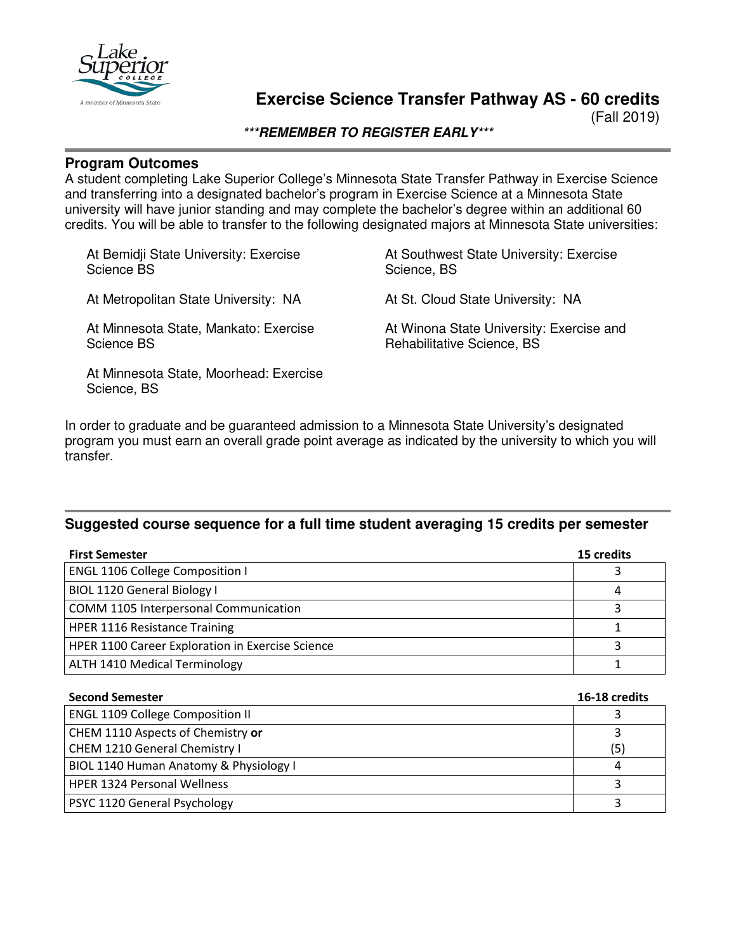

## **Exercise Science Transfer Pathway AS - 60 credits**

(Fall 2019)

**\*\*\*REMEMBER TO REGISTER EARLY\*\*\***

#### **Program Outcomes**

A student completing Lake Superior College's Minnesota State Transfer Pathway in Exercise Science and transferring into a designated bachelor's program in Exercise Science at a Minnesota State university will have junior standing and may complete the bachelor's degree within an additional 60 credits. You will be able to transfer to the following designated majors at Minnesota State universities:

At Bemidji State University: Exercise Science BS

At Metropolitan State University: NA

At Minnesota State, Mankato: Exercise Science BS

At Minnesota State, Moorhead: Exercise Science, BS

At Southwest State University: Exercise Science, BS

At St. Cloud State University: NA

At Winona State University: Exercise and Rehabilitative Science, BS

In order to graduate and be guaranteed admission to a Minnesota State University's designated program you must earn an overall grade point average as indicated by the university to which you will transfer.

#### **Suggested course sequence for a full time student averaging 15 credits per semester**

| <b>First Semester</b>                            | 15 credits |
|--------------------------------------------------|------------|
| <b>ENGL 1106 College Composition I</b>           |            |
| BIOL 1120 General Biology I                      | 4          |
| COMM 1105 Interpersonal Communication            |            |
| <b>HPER 1116 Resistance Training</b>             |            |
| HPER 1100 Career Exploration in Exercise Science |            |
| <b>ALTH 1410 Medical Terminology</b>             |            |

| <b>Second Semester</b>                  | 16-18 credits |
|-----------------------------------------|---------------|
| <b>ENGL 1109 College Composition II</b> |               |
| CHEM 1110 Aspects of Chemistry or       |               |
| CHEM 1210 General Chemistry I           | (5)           |
| BIOL 1140 Human Anatomy & Physiology I  | 4             |
| <b>HPER 1324 Personal Wellness</b>      |               |
| <b>PSYC 1120 General Psychology</b>     |               |